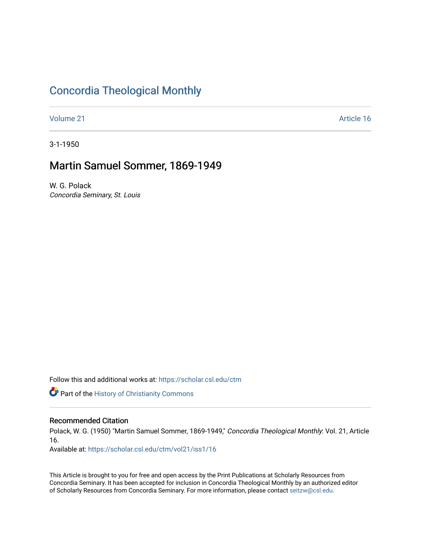## [Concordia Theological Monthly](https://scholar.csl.edu/ctm)

[Volume 21](https://scholar.csl.edu/ctm/vol21) Article 16

3-1-1950

## Martin Samuel Sommer, 1869-1949

W. G. Polack Concordia Seminary, St. Louis

Follow this and additional works at: [https://scholar.csl.edu/ctm](https://scholar.csl.edu/ctm?utm_source=scholar.csl.edu%2Fctm%2Fvol21%2Fiss1%2F16&utm_medium=PDF&utm_campaign=PDFCoverPages)

**Part of the History of Christianity Commons** 

## Recommended Citation

Polack, W. G. (1950) "Martin Samuel Sommer, 1869-1949," Concordia Theological Monthly: Vol. 21, Article 16.

Available at: [https://scholar.csl.edu/ctm/vol21/iss1/16](https://scholar.csl.edu/ctm/vol21/iss1/16?utm_source=scholar.csl.edu%2Fctm%2Fvol21%2Fiss1%2F16&utm_medium=PDF&utm_campaign=PDFCoverPages) 

This Article is brought to you for free and open access by the Print Publications at Scholarly Resources from Concordia Seminary. It has been accepted for inclusion in Concordia Theological Monthly by an authorized editor of Scholarly Resources from Concordia Seminary. For more information, please contact [seitzw@csl.edu](mailto:seitzw@csl.edu).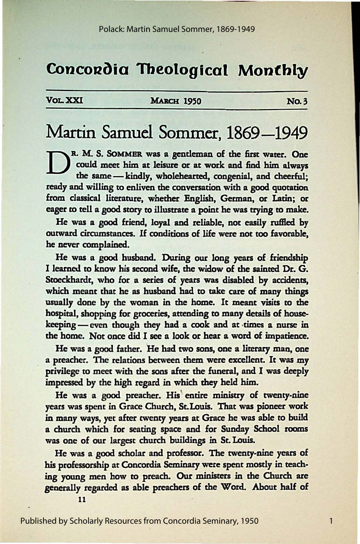# **Concordia Theological Monthly**

### VOLXXI MARCH 1950 NO.3

# Martin Samuel Sommer, 1869–1949

B. M. S. SOMMER was a gentleman of the first water. One could meet him at leisure or at work and find him always the same — kindly, wholehearted, congenial, and cheerful; could meet him at leisure or at work and find him always the same - kindly, wholehearted, congenial, and cheerful: ready and willing to enliven the conversation with a good quotation from classical literature, whether English, German, or Latin; or eager to tell a good story to illustrate a point he was trying to make.

He was a good friend, loyal and reliable, not easily ruffled by outward circumstances. If conditions of life were not too favorable, he never complained.

He was a good husband. During our long years of friendship I learned to know his second wife, the widow of the sainted Dr. G. Stoeckhardt, who for a series of years was disabled by accidents, which meant that he as husband had to take care of many things usually done by the woman in the home. It meant visits to the hospital, shopping for groceries, attending to many details of housekeeping- even though they had a cook and at times a nurse in the home. Not once did I see a look or hear a word of impatience.

He was a good father. He had two sons, one a literary man, one a preacher. The relations between them were excellent. It was my privilege to meet with the sons after the funeral, and I was deeply impressed by the high regard in which they held him.

He was a good preacher. His entire ministry of twenty-nine years was spent in Grace Church, St.Louis. That was pioneer work in many ways, *yet* after twenty years at Grace he was able to build a church which for seating space and for Sunday School rooms was one of our largest church buildings in St. Louis.

He was a good scholar and professor. The twenty-nine years of his professorship at Concordia Seminary were spent mostly in teaching young men how to preach. Our ministers in the Church are generally regarded as able preachers of the Word. About half of

1